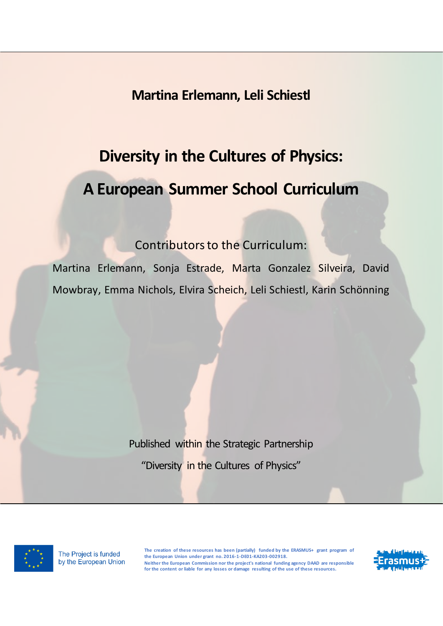**Martina Erlemann, Leli Schiestl**

# **Diversity in the Cultures of Physics:**

# **A European Summer School Curriculum**

## Contributors to the Curriculum:

Martina Erlemann, Sonja Estrade, Marta Gonzalez Silveira, David Mowbray, Emma Nichols, Elvira Scheich, Leli Schiestl, Karin Schönning

> Published within the Strategic Partnership "Diversity in the Cultures of Physics"

The Project is funded by the European Union

**The creation of these resources has been (partially) funded by the ERASMUS+ grant program of the European Union under grant no. 2016-1-DE01-KA203-002918. Neither the European Commission nor the project's national funding agency DAAD are responsible for the content or liable for any losses or damage resulting of the use of these resources.**

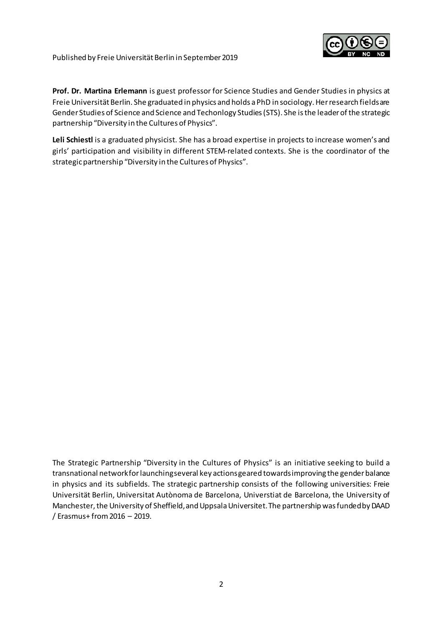

<span id="page-1-0"></span>Published by Freie Universität Berlin in September 2019

**Prof. Dr. Martina Erlemann** is guest professor for Science Studies and Gender Studies in physics at Freie Universität Berlin. She graduated in physics and holds a PhD in sociology. Her research fields are Gender Studies of Science and Science and Techonlogy Studies (STS). She is the leader of the strategic partnership "Diversity in the Cultures of Physics".

**Leli Schiestl** is a graduated physicist. She has a broad expertise in projects to increase women's and girls' participation and visibility in different STEM-related contexts. She is the coordinator of the strategicpartnership "Diversity in the Cultures of Physics".

The Strategic Partnership "Diversity in the Cultures of Physics" is an initiative seeking to build a transnational network for launching several key actions geared towards improving the gender balance in physics and its subfields. The strategic partnership consists of the following universities: Freie Universität Berlin, Universitat Autònoma de Barcelona, Universtiat de Barcelona, the University of Manchester, the University of Sheffield, and Uppsala Universitet. The partnership was funded by DAAD / Erasmus+ from 2016 – 2019.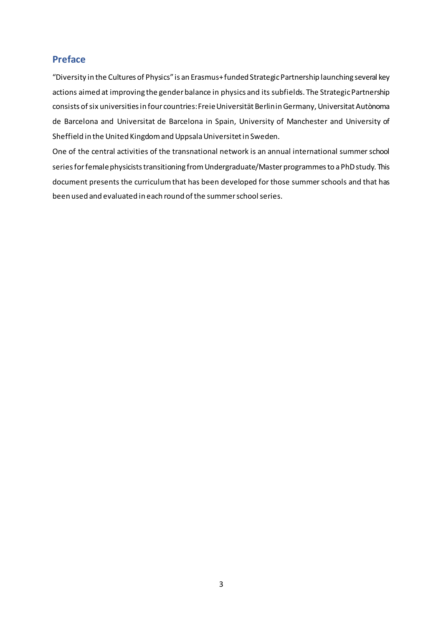### **Preface**

"Diversity in the Cultures of Physics" is an Erasmus+ funded Strategic Partnership launching several key actions aimed at improving the gender balance in physics and its subfields. The Strategic Partnership consists of six universities in four countries: Freie Universität Berlin in Germany, Universitat Autònoma de Barcelona and Universitat de Barcelona in Spain, University of Manchester and University of Sheffield in the United Kingdom and Uppsala Universitet in Sweden.

One of the central activities of the transnational network is an annual international summer school series for female physicists transitioning from Undergraduate/Masterprogrammes to a PhD study. This document presents the curriculum that has been developed for those summer schools and that has been used and evaluated in each round of the summer school series.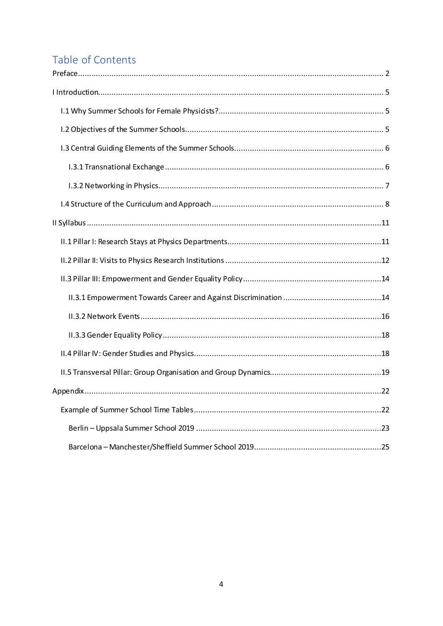## Table of Contents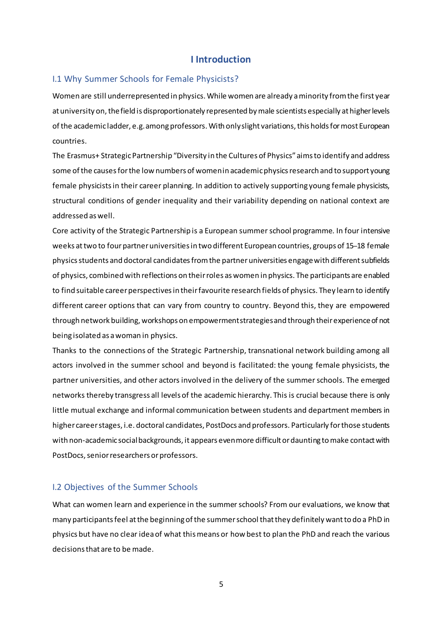#### **I Introduction**

#### <span id="page-4-1"></span><span id="page-4-0"></span>I.1 Why Summer Schools for Female Physicists?

Women are still underrepresented in physics. While women are already a minority from the first year at university on, the field is disproportionately represented by male scientists especially at higher levels of the academic ladder, e.g. among professors.With only slight variations, this holds for most European countries.

The Erasmus+ Strategic Partnership "Diversity in the Cultures of Physics" aims to identify and address some of the causes for the low numbers of women in academic physics research and to support young female physicists in their career planning. In addition to actively supporting young female physicists, structural conditions of gender inequality and their variability depending on national context are addressed as well.

Core activity of the Strategic Partnership is a European summer school programme. In four intensive weeks at two to four partner universities in two different European countries, groups of 15–18 female physics students and doctoral candidates from the partner universities engage with different subfields of physics, combined with reflections on their roles as women in physics. The participants are enabled to find suitable career perspectives in their favourite research fields of physics. They learn to identify different career options that can vary from country to country. Beyond this, they are empowered through network building, workshops on empowerment strategies and through their experience of not being isolated as a woman in physics.

Thanks to the connections of the Strategic Partnership, transnational network building among all actors involved in the summer school and beyond is facilitated: the young female physicists, the partner universities, and other actors involved in the delivery of the summer schools. The emerged networks thereby transgress all levels of the academic hierarchy. This is crucial because there is only little mutual exchange and informal communication between students and department members in higher career stages, i.e. doctoral candidates, PostDocs and professors. Particularly for those students with non-academic social backgrounds, it appears even more difficult or daunting to make contact with PostDocs, senior researchers or professors.

#### <span id="page-4-2"></span>I.2 Objectives of the Summer Schools

What can women learn and experience in the summer schools? From our evaluations, we know that many participants feel at the beginning of the summer school that they definitely want to do a PhD in physics but have no clear idea of what this means or how best to plan the PhD and reach the various decisions that are to be made.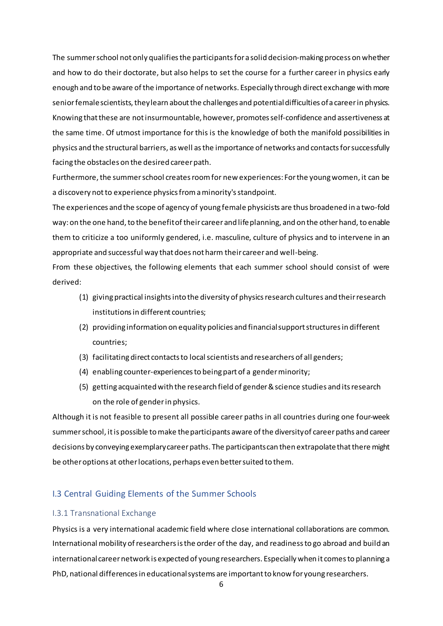The summer school not only qualifies the participants for a solid decision-making process on whether and how to do their doctorate, but also helps to set the course for a further career in physics early enough and to be aware of the importance of networks. Especially through direct exchange with more senior female scientists, they learn about the challenges and potential difficulties of a career in physics. Knowing that these are not insurmountable, however, promotes self-confidence and assertiveness at the same time. Of utmost importance for this is the knowledge of both the manifold possibilities in physics and the structural barriers, as well as the importance of networks and contacts forsuccessfully facing the obstacles on the desired career path.

Furthermore, the summer school creates room for new experiences: For the young women, it can be a discovery not to experience physics from a minority's standpoint.

The experiences and the scope of agency of young female physicists are thus broadened in a two-fold way: on the one hand, to the benefit of their career and life planning, and on the other hand, to enable them to criticize a too uniformly gendered, i.e. masculine, culture of physics and to intervene in an appropriate and successful way that does not harm their career and well-being.

From these objectives, the following elements that each summer school should consist of were derived:

- (1) giving practical insights into the diversity of physics research cultures and their research institutions in different countries;
- (2) providing information on equality policies and financial support structures in different countries;
- (3) facilitating direct contacts to local scientists and researchers of all genders;
- (4) enabling counter-experiences to being part of a gender minority;
- (5) getting acquainted with the research field of gender & science studies and its research on the role of gender in physics.

Although it is not feasible to present all possible career paths in all countries during one four-week summer school, it is possible tomake the participants aware of the diversity of career paths and career decisions by conveying exemplary career paths. The participants can then extrapolate that there might be other options at other locations, perhaps even better suited to them.

### <span id="page-5-0"></span>I.3 Central Guiding Elements of the Summer Schools

#### <span id="page-5-1"></span>I.3.1 Transnational Exchange

Physics is a very international academic field where close international collaborations are common. International mobility of researchers is the order of the day, and readiness to go abroad and build an international career network is expected of young researchers. Especially when it comes to planning a PhD, national differences in educational systems are important to know for young researchers.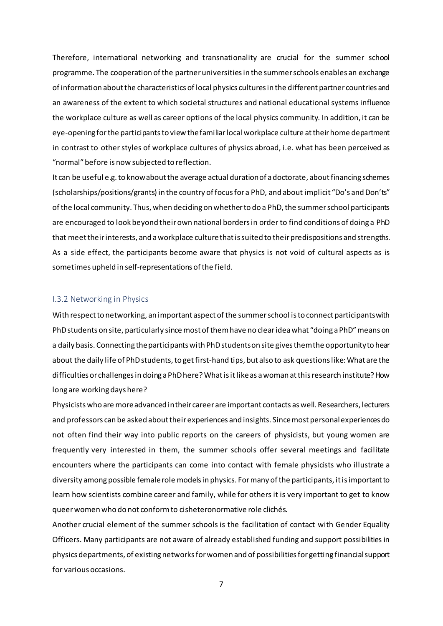Therefore, international networking and transnationality are crucial for the summer school programme. The cooperation of the partner universities in the summer schools enables an exchange of information about the characteristics of local physics cultures in the different partner countries and an awareness of the extent to which societal structures and national educational systems influence the workplace culture as well as career options of the local physics community. In addition, it can be eye-opening for the participants to view the familiar local workplace culture at theirhome department in contrast to other styles of workplace cultures of physics abroad, i.e. what has been perceived as "normal" before is now subjected to reflection.

It can be useful e.g. to know about the average actual duration of a doctorate, about financing schemes (scholarships/positions/grants) in the country of focus for a PhD, and about implicit "Do's and Don'ts" of the local community. Thus, when deciding on whether to do a PhD, the summer school participants are encouraged to look beyond their own national borders in order to find conditions of doing a PhD that meet their interests, and a workplace culturethat is suited to their predispositions and strengths. As a side effect, the participants become aware that physics is not void of cultural aspects as is sometimes upheld in self-representations of the field.

#### <span id="page-6-0"></span>I.3.2 Networking in Physics

With respect to networking, an important aspect of the summer school is to connect participants with PhD students on site, particularly since most of them have no clear idea what "doing a PhD" means on a daily basis. Connecting the participants with PhD students on site gives them the opportunity to hear about the daily life of PhD students, to get first-hand tips, but also to ask questions like: What are the difficulties or challenges in doing a PhD here? What is it like as a woman at thisresearch institute? How long are working days here?

Physicists who are more advanced in their career are important contacts as well. Researchers, lecturers and professors can be asked about their experiences and insights. Since most personal experiences do not often find their way into public reports on the careers of physicists, but young women are frequently very interested in them, the summer schools offer several meetings and facilitate encounters where the participants can come into contact with female physicists who illustrate a diversity among possible female role models in physics. For many of the participants, it isimportant to learn how scientists combine career and family, while for others it is very important to get to know queer women who do not conform to cisheteronormative role clichés.

Another crucial element of the summer schools is the facilitation of contact with Gender Equality Officers. Many participants are not aware of already established funding and support possibilities in physics departments, of existing networks for women and of possibilities for getting financial support for various occasions.

7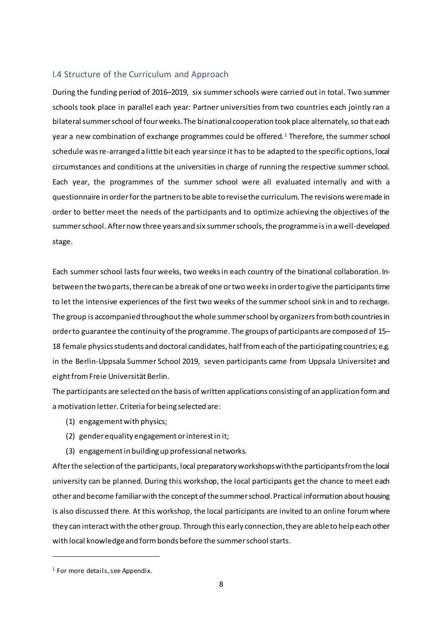#### <span id="page-7-0"></span>I.4 Structure of the Curriculum and Approach

During the funding period of 2016–2019, six summer schools were carried out in total. Two summer schools took place in parallel each year: Partner universities from two countries each jointly ran a bilateral summer school of four weeks. The binational cooperation took place alternately, so that each year a new combination of exchange programmes could be offered.<sup>[1](#page-7-1)</sup> Therefore, the summer school schedule wasre-arranged a little bit each year since it has to be adapted to the specific options, local circumstances and conditions at the universities in charge of running the respective summer school. Each year, the programmes of the summer school were all evaluated internally and with a questionnaire in order for the partners to be able to revise the curriculum. The revisions were made in order to better meet the needs of the participants and to optimize achieving the objectives of the summer school. After now three years and six summer schools, the programme is in a well-developed stage.

Each summer school lasts four weeks, two weeks in each country of the binational collaboration. Inbetween the two parts, there can be a break of one or two weeks in order to give the participants time to let the intensive experiences of the first two weeks of the summer school sink in and to recharge. The group is accompanied throughout the whole summer school by organizersfrom both countries in order to guarantee the continuity of the programme. The groups of participants are composed of 15– 18 female physics students and doctoral candidates, half from each of the participating countries; e.g. in the Berlin-Uppsala Summer School 2019, seven participants came from Uppsala Universitet and eightfrom Freie Universität Berlin.

The participants are selected on the basis of written applications consisting of an application form and a motivation letter. Criteria for being selected are:

- (1) engagement with physics;
- (2) gender equality engagement or interest in it;
- (3) engagement in building up professional networks.

After the selection of the participants, local preparatory workshops with the participants from the local university can be planned. During this workshop, the local participants get the chance to meet each other and become familiar with the concept of the summer school. Practical information about housing is also discussed there. At this workshop, the local participants are invited to an online forum where they can interact with the other group. Through this early connection,they are able to help each other with local knowledge and form bonds before the summer school starts.

1

<span id="page-7-1"></span><sup>&</sup>lt;sup>1</sup> For more details, see Appendix.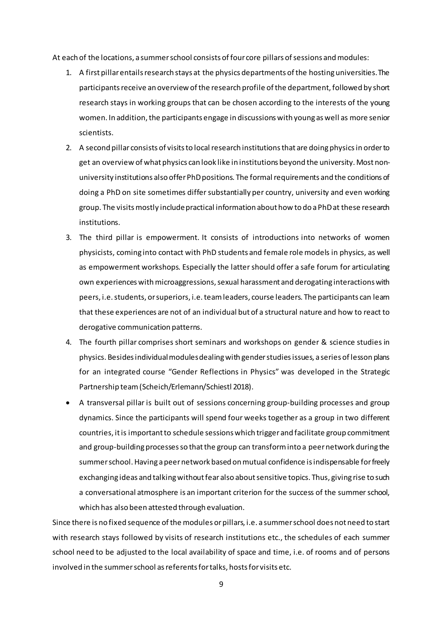At each of the locations, a summer school consists of four core pillars of sessions and modules:

- 1. A first pillar entails research stays at the physics departments of the hosting universities. The participants receive an overview of the research profile of the department, followed by short research stays in working groups that can be chosen according to the interests of the young women. In addition, the participants engage in discussions with young as well as more senior scientists.
- 2. A second pillar consists of visits to local research institutionsthat are doing physicsin order to get an overview of what physics can look like in institutions beyond the university. Most nonuniversity institutions also offer PhD positions. The formal requirements and the conditions of doing a PhD on site sometimes differ substantially per country, university and even working group. The visits mostly include practical information about how to do a PhD at these research institutions.
- 3. The third pillar is empowerment. It consists of introductions into networks of women physicists, coming into contact with PhD students and female role models in physics, as well as empowerment workshops. Especially the latter should offer a safe forum for articulating own experiences with microaggressions, sexual harassment and derogating interactions with peers, i.e. students, or superiors, i.e. team leaders, course leaders. The participants can learn that these experiences are not of an individual but of a structural nature and how to react to derogative communication patterns.
- 4. The fourth pillar comprises short seminars and workshops on gender & science studies in physics. Besides individual modules dealing with gender studies issues, a series of lesson plans for an integrated course "Gender Reflections in Physics" was developed in the Strategic Partnership team (Scheich/Erlemann/Schiestl 2018).
- A transversal pillar is built out of sessions concerning group-building processes and group dynamics. Since the participants will spend four weeks together as a group in two different countries, it is important to schedule sessions which trigger and facilitate group commitment and group-building processesso that the group can transform into a peer network during the summer school. Having a peer network based on mutual confidence is indispensable for freely exchanging ideas and talking without fear also about sensitive topics. Thus, giving rise to such a conversational atmosphere is an important criterion for the success of the summer school, which has also been attested through evaluation.

Since there is no fixed sequence of the modules or pillars, i.e. a summer school does not need to start with research stays followed by visits of research institutions etc., the schedules of each summer school need to be adjusted to the local availability of space and time, i.e. of rooms and of persons involved in the summer school as referentsfor talks, hosts for visits etc.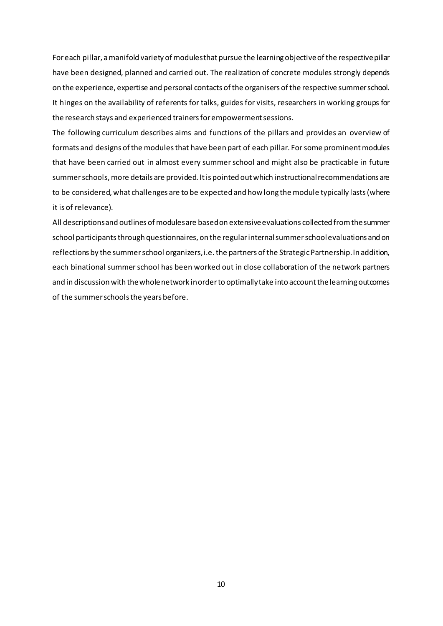For each pillar, a manifold variety of modules that pursue the learning objective of the respectivepillar have been designed, planned and carried out. The realization of concrete modules strongly depends on the experience, expertise and personal contacts of the organisers of the respective summer school. It hinges on the availability of referents for talks, guides for visits, researchers in working groups for the research stays and experienced trainers for empowerment sessions.

The following curriculum describes aims and functions of the pillars and provides an overview of formats and designs of the modules that have been part of each pillar. For some prominent modules that have been carried out in almost every summer school and might also be practicable in future summer schools, more details are provided. It is pointed out which instructional recommendations are to be considered, what challenges are to be expected and how long the module typically lasts (where it is of relevance).

All descriptions and outlines of modules are based on extensive evaluations collected fromthe summer school participants through questionnaires, on the regular internal summer school evaluations and on reflections by the summer school organizers, i.e. the partners of the Strategic Partnership.In addition, each binational summer school has been worked out in close collaboration of the network partners and in discussion with the whole network in order to optimally take into account the learning outcomes of the summer schoolsthe years before.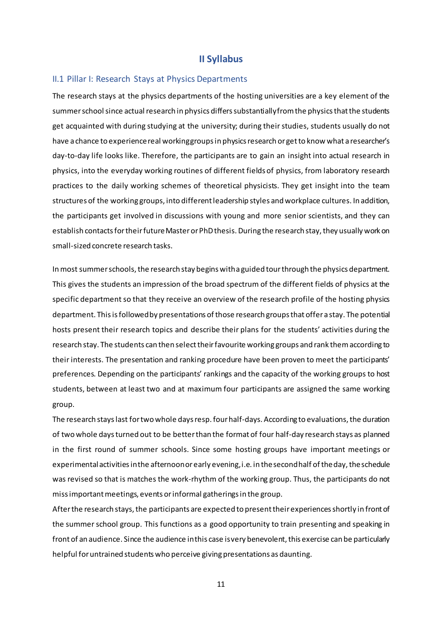#### **II Syllabus**

#### <span id="page-10-1"></span><span id="page-10-0"></span>II.1 Pillar I: Research Stays at Physics Departments

The research stays at the physics departments of the hosting universities are a key element of the summer school since actual research in physics differs substantially from the physics that the students get acquainted with during studying at the university; during their studies, students usually do not have a chance to experience real working groups in physics research or get to know what a researcher's day-to-day life looks like. Therefore, the participants are to gain an insight into actual research in physics, into the everyday working routines of different fields of physics, from laboratory research practices to the daily working schemes of theoretical physicists. They get insight into the team structures of the working groups, into different leadership styles and workplace cultures. In addition, the participants get involved in discussions with young and more senior scientists, and they can establish contacts for their future Master or PhD thesis. During the research stay, they usually work on small-sized concrete research tasks.

In most summer schools, the research stay begins with a guided tour through the physics department. This gives the students an impression of the broad spectrum of the different fields of physics at the specific department so that they receive an overview of the research profile of the hosting physics department. This is followed by presentations of those research groups that offer a stay. The potential hosts present their research topics and describe their plans for the students' activities during the research stay. The students can then select their favourite working groups and rank them according to their interests. The presentation and ranking procedure have been proven to meet the participants' preferences. Depending on the participants' rankings and the capacity of the working groups to host students, between at least two and at maximum four participants are assigned the same working group.

The research stays last for two whole days resp. four half-days. According to evaluations, the duration of two whole days turned out to be better than the format of four half-day research stays as planned in the first round of summer schools. Since some hosting groups have important meetings or experimental activities in the afternoon or early evening, i.e. in the second half of the day, the schedule was revised so that is matches the work-rhythm of the working group. Thus, the participants do not miss important meetings, events or informal gatherings in the group.

After the research stays, the participants are expected to present their experiences shortly in front of the summer school group. This functions as a good opportunity to train presenting and speaking in front of an audience. Since the audience in this case is very benevolent, this exercise can be particularly helpful for untrained students who perceive giving presentations as daunting.

11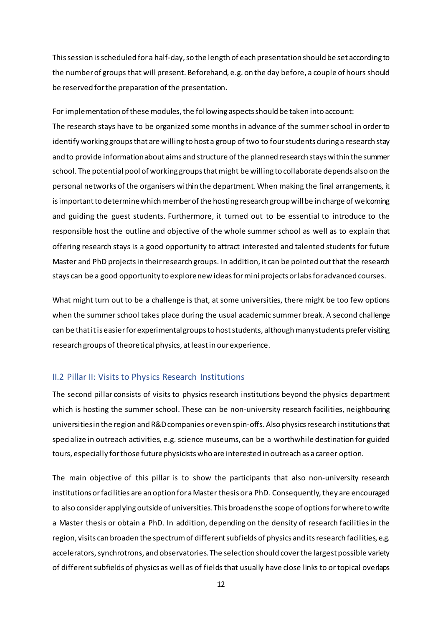This session is scheduled for a half-day, so the length of each presentation should be set according to the number of groups that will present. Beforehand, e.g. on the day before, a couple of hours should be reserved for the preparation of the presentation.

For implementation of these modules, the following aspects should be taken into account: The research stays have to be organized some months in advance of the summer school in order to identify working groups that are willing to host a group of two to four students during a research stay and to provide information about aims and structure of the planned research stays within the summer school. The potential pool of working groups that might be willing to collaborate depends also on the personal networks of the organisers within the department. When making the final arrangements, it is important to determine which member of the hosting research group will be in charge of welcoming and guiding the guest students. Furthermore, it turned out to be essential to introduce to the responsible host the outline and objective of the whole summer school as well as to explain that offering research stays is a good opportunity to attract interested and talented students for future Master and PhD projects in their research groups. In addition, it can be pointed out that the research stays can be a good opportunity to explore new ideas for mini projects or labs for advanced courses.

What might turn out to be a challenge is that, at some universities, there might be too few options when the summer school takes place during the usual academic summer break. A second challenge can be that it is easier for experimental groups to host students, although many students prefer visiting research groups of theoretical physics, at least in our experience.

#### <span id="page-11-0"></span>II.2 Pillar II: Visits to Physics Research Institutions

The second pillar consists of visits to physics research institutions beyond the physics department which is hosting the summer school. These can be non-university research facilities, neighbouring universities in the region and R&D companies or even spin-offs. Also physics research institutions that specialize in outreach activities, e.g. science museums, can be a worthwhile destination for guided tours, especially for those future physicists who are interested in outreach as a career option.

The main objective of this pillar is to show the participants that also non-university research institutions or facilities are an option for a Master thesis or a PhD. Consequently, they are encouraged to also consider applying outside of universities. This broadens the scope of options for where to write a Master thesis or obtain a PhD. In addition, depending on the density of research facilities in the region, visits can broaden the spectrum of different subfields of physics and its research facilities, e.g. accelerators, synchrotrons, and observatories. The selection should cover the largest possible variety of different subfields of physics as well as of fields that usually have close links to or topical overlaps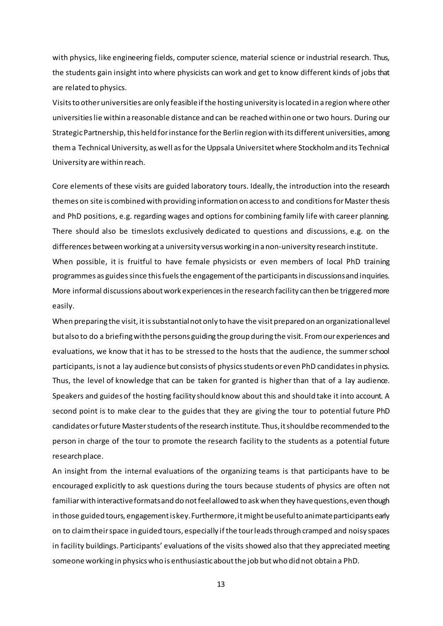with physics, like engineering fields, computer science, material science or industrial research. Thus, the students gain insight into where physicists can work and get to know different kinds of jobs that are related to physics.

Visits to other universities are only feasible if the hosting university islocated in a region where other universities lie within a reasonable distance and can be reached within one or two hours. During our Strategic Partnership, this held for instance for the Berlin region with its different universities, among them a Technical University, as well as for the Uppsala Universitetwhere Stockholm and its Technical University are within reach.

Core elements of these visits are guided laboratory tours. Ideally, the introduction into the research themes on site is combined with providing information on access to and conditions forMaster thesis and PhD positions, e.g. regarding wages and options for combining family life with career planning. There should also be timeslots exclusively dedicated to questions and discussions, e.g. on the differences between working at a university versus working in a non-university research institute. When possible, it is fruitful to have female physicists or even members of local PhD training programmes as guides since this fuels the engagement of the participants in discussionsand inquiries. More informal discussions about work experiences in the research facility can then be triggeredmore easily.

When preparing the visit, it is substantial not only to have the visit prepared on an organizational level but also to do a briefing with the persons guiding the group during the visit. From our experiences and evaluations, we know that it has to be stressed to the hosts that the audience, the summer school participants, is not a lay audience but consists of physics students or even PhD candidates in physics. Thus, the level of knowledge that can be taken for granted is higher than that of a lay audience. Speakers and guides of the hosting facility should know about this and should take it into account. A second point is to make clear to the guides that they are giving the tour to potential future PhD candidates or future Master students of the research institute. Thus,it should be recommended to the person in charge of the tour to promote the research facility to the students as a potential future research place.

An insight from the internal evaluations of the organizing teams is that participants have to be encouraged explicitly to ask questions during the tours because students of physics are often not familiar with interactive formats and do not feel allowed to ask when they have questions, even though in those guided tours, engagement is key. Furthermore, it might be useful to animate participants early on to claim their space in guided tours, especially if the tour leadsthrough cramped and noisy spaces in facility buildings. Participants' evaluations of the visits showed also that they appreciated meeting someone working in physics who is enthusiastic about the job but who did not obtain a PhD.

13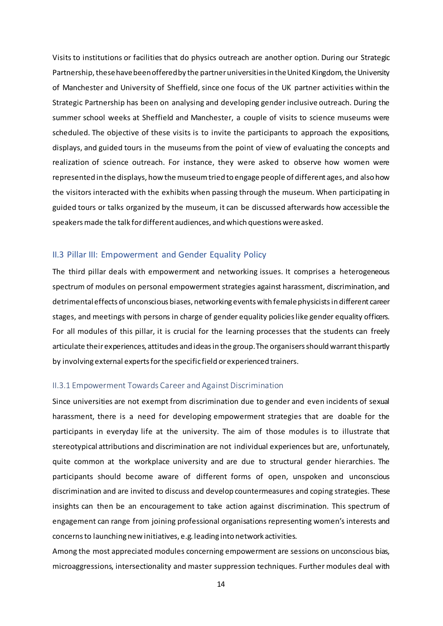Visits to institutions or facilities that do physics outreach are another option. During our Strategic Partnership, these have been offered by the partner universities in the United Kingdom, the University of Manchester and University of Sheffield, since one focus of the UK partner activities within the Strategic Partnership has been on analysing and developing gender inclusive outreach. During the summer school weeks at Sheffield and Manchester, a couple of visits to science museums were scheduled. The objective of these visits is to invite the participants to approach the expositions, displays, and guided tours in the museums from the point of view of evaluating the concepts and realization of science outreach. For instance, they were asked to observe how women were represented in the displays, how the museum tried to engage people of different ages, and also how the visitors interacted with the exhibits when passing through the museum. When participating in guided tours or talks organized by the museum, it can be discussed afterwards how accessible the speakers made the talk fordifferent audiences, and which questions were asked.

#### <span id="page-13-0"></span>II.3 Pillar III: Empowerment and Gender Equality Policy

The third pillar deals with empowerment and networking issues. It comprises a heterogeneous spectrum of modules on personal empowerment strategies against harassment, discrimination, and detrimental effects of unconscious biases, networking events with female physicistsin different career stages, and meetings with persons in charge of gender equality policieslike gender equality officers. For all modules of this pillar, it is crucial for the learning processes that the students can freely articulate their experiences, attitudes and ideas in the group. The organisers should warrant this partly by involving external experts for the specific field or experienced trainers.

#### <span id="page-13-1"></span>II.3.1 Empowerment Towards Career and Against Discrimination

Since universities are not exempt from discrimination due to gender and even incidents of sexual harassment, there is a need for developing empowerment strategies that are doable for the participants in everyday life at the university. The aim of those modules is to illustrate that stereotypical attributions and discrimination are not individual experiences but are, unfortunately, quite common at the workplace university and are due to structural gender hierarchies. The participants should become aware of different forms of open, unspoken and unconscious discrimination and are invited to discuss and develop countermeasures and coping strategies. These insights can then be an encouragement to take action against discrimination. This spectrum of engagement can range from joining professional organisations representing women's interests and concerns to launching new initiatives, e.g. leading into network activities.

Among the most appreciated modules concerning empowerment are sessions on unconscious bias, microaggressions, intersectionality and master suppression techniques. Further modules deal with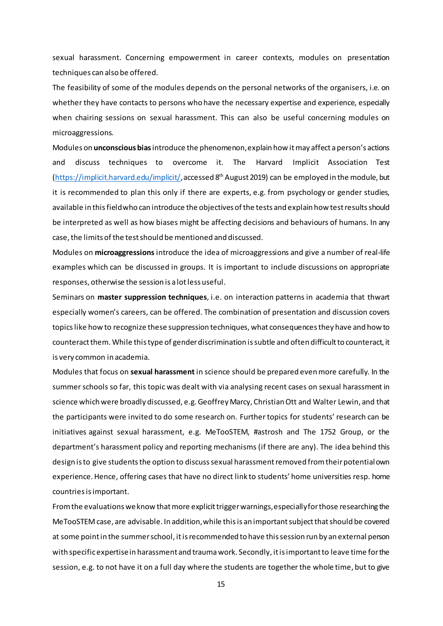sexual harassment. Concerning empowerment in career contexts, modules on presentation techniques can also be offered.

The feasibility of some of the modules depends on the personal networks of the organisers, i.e. on whether they have contacts to persons who have the necessary expertise and experience, especially when chairing sessions on sexual harassment. This can also be useful concerning modules on microaggressions.

Modules on **unconscious bias**introduce the phenomenon, explain how it may affect a person's actions and discuss techniques to overcome it. The Harvard Implicit Association Test [\(https://implicit.harvard.edu/implicit/](https://implicit.harvard.edu/implicit/), accessed 8th August 2019) can be employed in the module, but it is recommended to plan this only if there are experts, e.g. from psychology or gender studies, available in this field who can introduce the objectives of the tests and explain how test results should be interpreted as well as how biases might be affecting decisions and behaviours of humans. In any case, the limits of the test should be mentioned and discussed.

Modules on **microaggressions** introduce the idea of microaggressions and give a number of real-life examples which can be discussed in groups. It is important to include discussions on appropriate responses, otherwise the session is a lot less useful.

Seminars on **master suppression techniques**, i.e. on interaction patterns in academia that thwart especially women's careers, can be offered. The combination of presentation and discussion covers topics like how to recognize these suppression techniques, what consequences they have and how to counteract them. While this type of gender discrimination is subtle and often difficult to counteract, it is very common in academia.

Modules that focus on **sexual harassment** in science should be prepared even more carefully. In the summer schools so far, this topic was dealt with via analysing recent cases on sexual harassment in science which were broadly discussed, e.g. Geoffrey Marcy, Christian Ott and Walter Lewin, and that the participants were invited to do some research on. Further topics for students' research can be initiatives against sexual harassment, e.g. MeTooSTEM, #astrosh and The 1752 Group, or the department's harassment policy and reporting mechanisms (if there are any). The idea behind this design is to give students the option to discuss sexual harassment removed from their potential own experience.Hence, offering cases that have no direct link to students' home universities resp. home countries is important.

From the evaluations we know that more explicit trigger warnings, especially for those researching the MeTooSTEM case, are advisable. In addition, while this is an important subject that should be covered at some point in the summer school, it is recommended to have this session run by an external person with specific expertisein harassment and traumawork. Secondly, it is important to leave time for the session, e.g. to not have it on a full day where the students are together the whole time, but to give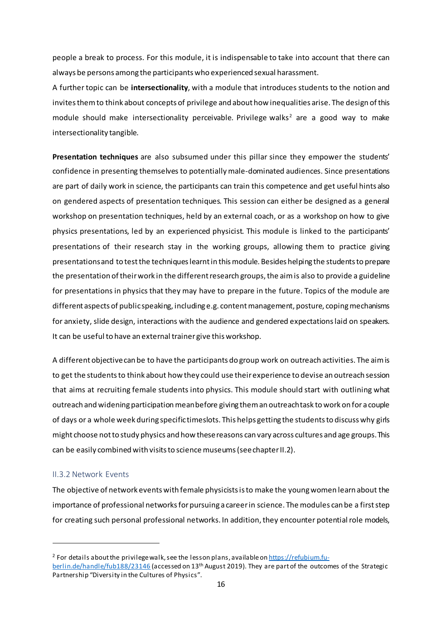people a break to process. For this module, it is indispensable to take into account that there can always be persons among the participants who experienced sexual harassment.

A further topic can be **intersectionality**, with a module that introduces students to the notion and invites them to think about concepts of privilege and about how inequalities arise. The design of this module should make intersectionality perceivable. Privilege walks<sup>[2](#page-15-1)</sup> are a good way to make intersectionality tangible.

**Presentation techniques** are also subsumed under this pillar since they empower the students' confidence in presenting themselves to potentially male-dominated audiences. Since presentations are part of daily work in science, the participants can train this competence and get useful hints also on gendered aspects of presentation techniques. This session can either be designed as a general workshop on presentation techniques, held by an external coach, or as a workshop on how to give physics presentations, led by an experienced physicist. This module is linked to the participants' presentations of their research stay in the working groups, allowing them to practice giving presentations and to test the techniques learntin this module. Besides helping the students to prepare the presentation of their work in the different research groups, the aim is also to provide a guideline for presentations in physics that they may have to prepare in the future. Topics of the module are different aspects of public speaking, including e.g. content management, posture, coping mechanisms for anxiety, slide design, interactions with the audience and gendered expectations laid on speakers. It can be useful to have an external trainer give this workshop.

A different objective can be to have the participants do group work on outreach activities. The aim is to get the students to think about how they could use their experience to devise an outreach session that aims at recruiting female students into physics. This module should start with outlining what outreach and widening participation mean before giving them an outreach task to work on for a couple of days or a whole week during specific timeslots. This helps getting the students to discuss why girls might choose not to study physics and how these reasons can vary across cultures and age groups. This can be easily combined with visits to science museums (see chapter II.2).

#### <span id="page-15-0"></span>II.3.2 Network Events

1

The objective of network events with female physicists is to make the young women learn about the importance of professional networks for pursuing a career in science. The modules can be a first step for creating such personal professional networks. In addition, they encounter potential role models,

<span id="page-15-1"></span><sup>&</sup>lt;sup>2</sup> For details about the privilege walk, see the lesson plans, available o[n https://refubium.fu](https://refubium.fu-berlin.de/handle/fub188/23146)[berlin.de/handle/fub188/23146](https://refubium.fu-berlin.de/handle/fub188/23146) (accessed on 13<sup>th</sup> August 2019). They are part of the outcomes of the Strategic Partnership "Diversity in the Cultures of Physics".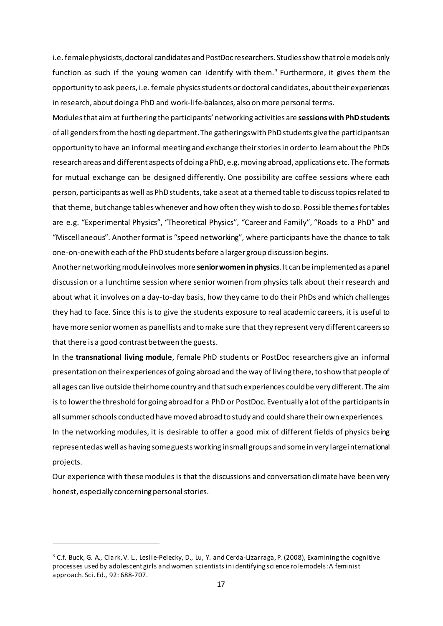i.e. female physicists, doctoral candidates and PostDoc researchers. Studies show that role models only function as such if the young women can identify with them.<sup>[3](#page-16-0)</sup> Furthermore, it gives them the opportunity to ask peers, i.e. female physics students or doctoral candidates, about their experiences in research, about doing a PhD and work-life-balances, also on more personal terms.

Modules that aim at furthering the participants' networking activities are **sessions with PhD students**  of all gendersfrom the hosting department. The gatherings with PhD students give the participants an opportunity to have an informal meeting and exchange their stories in order to learn about the PhDs research areas and different aspects of doing a PhD, e.g. moving abroad, applications etc. The formats for mutual exchange can be designed differently. One possibility are coffee sessions where each person, participants as well as PhD students, take a seat at a themed table to discuss topics related to that theme, but change tables whenever and how often they wish to do so. Possible themes for tables are e.g. "Experimental Physics", "Theoretical Physics", "Career and Family", "Roads to a PhD" and "Miscellaneous". Another format is "speed networking", where participants have the chance to talk one-on-one with each of the PhD students before a larger group discussion begins.

Another networking module involves more **senior women in physics**. It can be implemented as a panel discussion or a lunchtime session where senior women from physics talk about their research and about what it involves on a day-to-day basis, how they came to do their PhDs and which challenges they had to face. Since this is to give the students exposure to real academic careers, it is useful to have more senior women as panellists and to make sure that they represent very different careers so that there is a good contrast between the guests.

In the **transnational living module**, female PhD students or PostDoc researchers give an informal presentation on their experiences of going abroad and the way of living there, to show that people of all ages can live outside their home country and that such experiences could be very different. The aim is to lower the threshold for going abroad for a PhD or PostDoc. Eventually a lot of the participants in all summer schools conducted have moved abroad to study and could share their own experiences. In the networking modules, it is desirable to offer a good mix of different fields of physics being represented as well as having some guests working in small groups and some in very large international projects.

Our experience with these modules is that the discussions and conversation climate have been very honest, especially concerning personal stories.

1

<span id="page-16-0"></span><sup>3</sup> C.f. Buck, G. A., Clark, V. L., Leslie-Pelecky, D., Lu, Y. and Cerda-Lizarraga, P. (2008), Examining the cognitive processes used by adolescent girls and women scientists in identifying science role models: A feminist approach. Sci. Ed., 92: 688-707.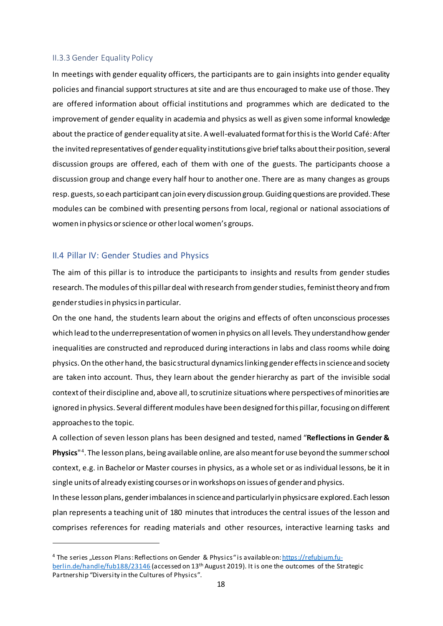#### <span id="page-17-0"></span>II.3.3 Gender Equality Policy

In meetings with gender equality officers, the participants are to gain insights into gender equality policies and financial support structures at site and are thus encouraged to make use of those. They are offered information about official institutions and programmes which are dedicated to the improvement of gender equality in academia and physics as well as given some informal knowledge about the practice of gender equality at site. A well-evaluated format for this is the World Café: After the invited representatives of gender equality institutions give brief talks about their position, several discussion groups are offered, each of them with one of the guests. The participants choose a discussion group and change every half hour to another one. There are as many changes as groups resp. guests, so each participant can join every discussion group. Guiding questions are provided. These modules can be combined with presenting persons from local, regional or national associations of women in physics or science or other local women's groups.

#### <span id="page-17-1"></span>II.4 Pillar IV: Gender Studies and Physics

1

The aim of this pillar is to introduce the participants to insights and results from gender studies research. The modules of this pillar deal with research from gender studies, feminist theory and from gender studies in physics in particular.

On the one hand, the students learn about the origins and effects of often unconscious processes which lead to the underrepresentation of women in physics on all levels. They understand how gender inequalities are constructed and reproduced during interactions in labs and class rooms while doing physics. On the other hand, the basic structural dynamics linking gender effects in science and society are taken into account. Thus, they learn about the gender hierarchy as part of the invisible social context of their discipline and, above all, to scrutinize situations where perspectives of minorities are ignored in physics. Several different modules have been designed for this pillar, focusing on different approaches to the topic.

A collection of seven lesson plans has been designed and tested, named "**Reflections in Gender & Physics**"[4](#page-17-2). The lesson plans, being available online, are also meant for use beyond the summer school context, e.g. in Bachelor or Master courses in physics, as a whole set or as individual lessons, be it in single units of already existing courses or in workshops on issues of gender and physics.

In these lesson plans, gender imbalances in science and particularly in physics are explored.Each lesson plan represents a teaching unit of 180 minutes that introduces the central issues of the lesson and comprises references for reading materials and other resources, interactive learning tasks and

<span id="page-17-2"></span><sup>&</sup>lt;sup>4</sup> The series "Lesson Plans: Reflections on Gender & Physics" is available on[: https://refubium.fu](https://refubium.fu-berlin.de/handle/fub188/23146)[berlin.de/handle/fub188/23146](https://refubium.fu-berlin.de/handle/fub188/23146) (accessed on 13<sup>th</sup> August 2019). It is one the outcomes of the Strategic Partnership "Diversity in the Cultures of Physics".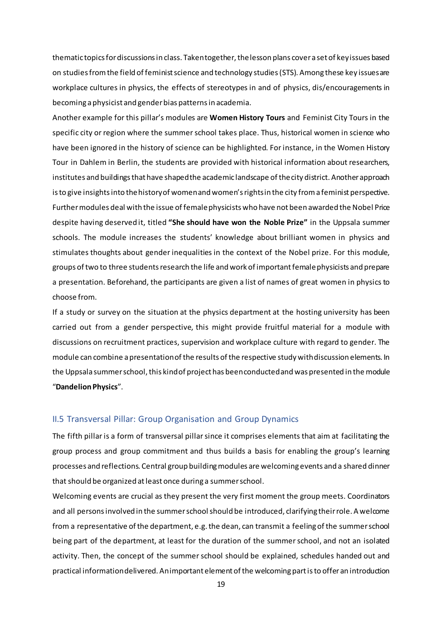thematic topics for discussionsin class. Taken together, the lesson plans cover a set of key issues based on studies from the field of feminist science and technology studies (STS). Among these key issues are workplace cultures in physics, the effects of stereotypes in and of physics, dis/encouragements in becoming a physicist and gender bias patterns in academia.

Another example for this pillar's modules are **Women History Tours** and Feminist City Tours in the specific city or region where the summer school takes place. Thus, historical women in science who have been ignored in the history of science can be highlighted. For instance, in the Women History Tour in Dahlem in Berlin, the students are provided with historical information about researchers, institutes and buildings that have shaped the academic landscape of the city district. Another approach is to give insights into the history of women and women's rights in the city from a feminist perspective. Further modules deal with the issue of female physicists who have not been awarded the Nobel Price despite having deserved it, titled **"She should have won the Noble Prize"** in the Uppsala summer schools. The module increases the students' knowledge about brilliant women in physics and stimulates thoughts about gender inequalities in the context of the Nobel prize. For this module, groups of two to three students research the life and work of important female physicists and prepare a presentation. Beforehand, the participants are given a list of names of great women in physics to choose from.

If a study or survey on the situation at the physics department at the hosting university has been carried out from a gender perspective, this might provide fruitful material for a module with discussions on recruitment practices, supervision and workplace culture with regard to gender. The module can combine a presentation of the results of the respective study with discussion elements. In the Uppsala summer school, this kind of project has been conducted and was presented in the module "**Dandelion Physics**".

#### <span id="page-18-0"></span>II.5 Transversal Pillar: Group Organisation and Group Dynamics

The fifth pillar is a form of transversal pillar since it comprises elements that aim at facilitating the group process and group commitment and thus builds a basis for enabling the group's learning processes and reflections. Central group building modules are welcoming events and a shared dinner that should be organized at least once during a summer school.

Welcoming events are crucial as they present the very first moment the group meets. Coordinators and all persons involved in the summer school should be introduced, clarifying their role. A welcome from a representative of the department, e.g. the dean, can transmit a feeling of the summer school being part of the department, at least for the duration of the summer school, and not an isolated activity. Then, the concept of the summer school should be explained, schedules handed out and practical information delivered. An important element of the welcoming part is to offer an introduction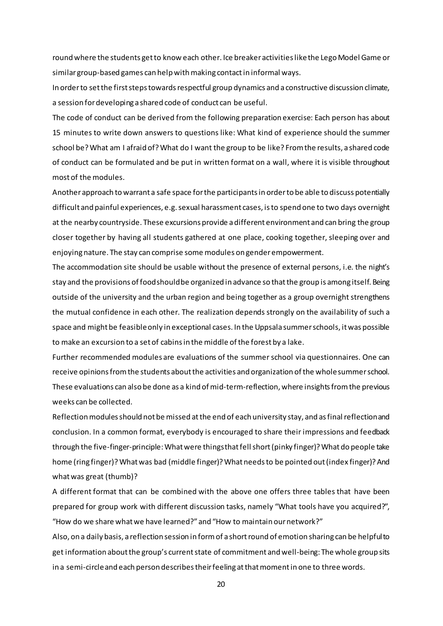round where the students get to know each other. Ice breaker activities like the Lego Model Game or similar group-based games can help withmaking contact in informal ways.

In order to set the first steps towards respectful group dynamics and a constructive discussion climate, a session for developing a shared code of conduct can be useful.

The code of conduct can be derived from the following preparation exercise: Each person has about 15 minutes to write down answers to questions like: What kind of experience should the summer school be?What am I afraid of?What do I want the group to be like? From the results, a shared code of conduct can be formulated and be put in written format on a wall, where it is visible throughout most of the modules.

Another approach to warrant a safe space for the participants in order to be able to discuss potentially difficult and painful experiences, e.g. sexual harassment cases, is to spend one to two days overnight at the nearby countryside. These excursions provide a different environment and can bring the group closer together by having all students gathered at one place, cooking together, sleeping over and enjoyingnature. The stay can comprise some modules on gender empowerment.

The accommodation site should be usable without the presence of external persons, i.e. the night's stay and the provisions of food should be organized in advance so that the group is among itself. Being outside of the university and the urban region and being together as a group overnight strengthens the mutual confidence in each other. The realization depends strongly on the availability of such a space and might be feasible only in exceptional cases. In the Uppsala summer schools, it was possible to make an excursion to a set of cabins in the middle of the forest by a lake.

Further recommended modules are evaluations of the summer school via questionnaires. One can receive opinions from the students about the activities and organization of the whole summer school. These evaluations can also be done as a kind of mid-term-reflection, where insights from the previous weeks can be collected.

Reflection modules should not be missed at the end of each university stay, and as final reflection and conclusion. In a common format, everybody is encouraged to share their impressions and feedback through the five-finger-principle: What were things that fell short (pinky finger)?What do people take home (ring finger)? What was bad (middle finger)? What needs to be pointed out (index finger)? And what was great (thumb)?

A different format that can be combined with the above one offers three tables that have been prepared for group work with different discussion tasks, namely "What tools have you acquired?", "How do we share what we have learned?" and "How to maintain our network?"

Also, on a daily basis, a reflection session in form of a short round of emotion sharing can be helpful to get information about the group's currentstate of commitment and well-being: The whole group sits in a semi-circle and each person describes their feeling at that moment in one to three words.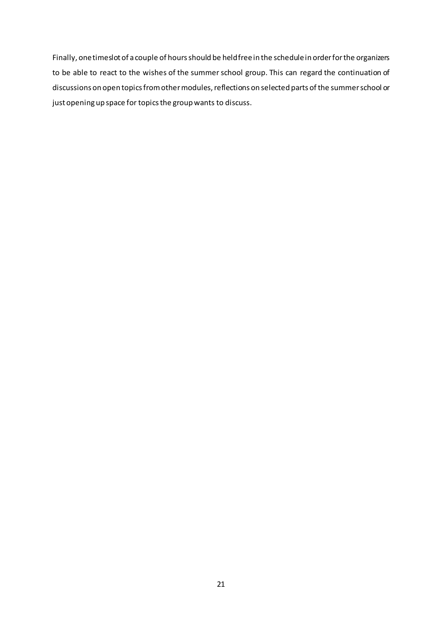Finally, one timeslot of a couple of hours should be held free in the schedule in order for the organizers to be able to react to the wishes of the summer school group. This can regard the continuation of discussions on open topics from other modules, reflections on selected parts of the summer school or just opening up space for topics the group wants to discuss.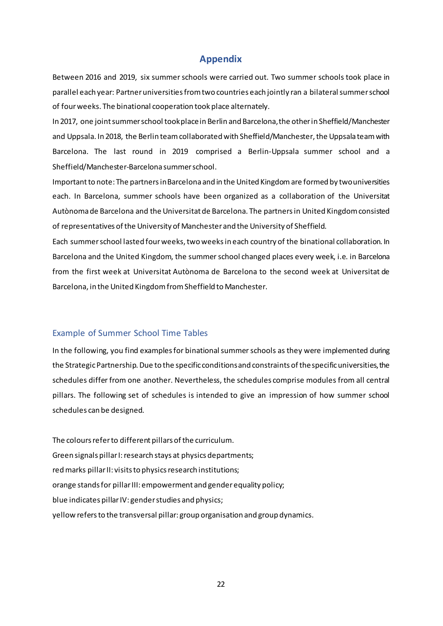#### **Appendix**

<span id="page-21-0"></span>Between 2016 and 2019, six summer schools were carried out. Two summer schools took place in parallel each year: Partner universities from two countries each jointly ran a bilateral summer school of four weeks. The binational cooperation took place alternately.

In 2017, one joint summer school took place in Berlin and Barcelona, the other in Sheffield/Manchester and Uppsala. In 2018, the Berlin team collaborated with Sheffield/Manchester, the Uppsala team with Barcelona. The last round in 2019 comprised a Berlin-Uppsala summer school and a Sheffield/Manchester-Barcelona summer school.

Important to note: The partners in Barcelona and in the United Kingdomare formed by two universities each. In Barcelona, summer schools have been organized as a collaboration of the Universitat Autònoma de Barcelona and the Universitat de Barcelona. The partners in United Kingdom consisted of representatives of the University of Manchester and the University of Sheffield.

Each summer school lasted four weeks, two weeks in each country of the binational collaboration. In Barcelona and the United Kingdom, the summer school changed places every week, i.e. in Barcelona from the first week at Universitat Autònoma de Barcelona to the second week at Universitat de Barcelona, in the United Kingdomfrom Sheffield to Manchester.

#### <span id="page-21-1"></span>Example of Summer School Time Tables

In the following, you find examples for binational summer schools as they were implemented during the Strategic Partnership. Due to the specific conditions and constraints of the specific universities,the schedules differ from one another. Nevertheless, the schedules comprise modules from all central pillars. The following set of schedules is intended to give an impression of how summer school schedules can be designed.

The colours refer to different pillars of the curriculum. Green signals pillar I: research stays at physics departments; red marks pillar II: visits to physics research institutions; orange stands for pillar III: empowerment and gender equality policy; blue indicates pillar IV: gender studies and physics; yellow refers to the transversal pillar: group organisation and group dynamics.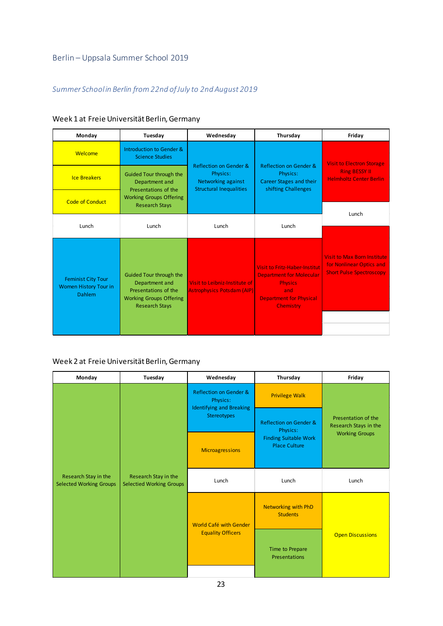## <span id="page-22-0"></span>Berlin – Uppsala Summer School 2019

## *Summer School in Berlin from 22nd of July to 2nd August 2019*

| Monday                                                                     | Tuesday                                                                                                                      | Wednesday                                                                                  | Thursday                                                                                                                                               | Friday                                                                                            |
|----------------------------------------------------------------------------|------------------------------------------------------------------------------------------------------------------------------|--------------------------------------------------------------------------------------------|--------------------------------------------------------------------------------------------------------------------------------------------------------|---------------------------------------------------------------------------------------------------|
| Welcome                                                                    | Introduction to Gender &<br><b>Science Studies</b>                                                                           |                                                                                            |                                                                                                                                                        | <b>Visit to Electron Storage</b>                                                                  |
| <b>Ice Breakers</b>                                                        | <b>Guided Tour through the</b><br>Department and<br>Presentations of the                                                     | Reflection on Gender &<br>Physics:<br>Networking against<br><b>Structural Inequalities</b> | Reflection on Gender &<br>Physics:<br><b>Career Stages and their</b><br>shifting Challenges                                                            | <b>Ring BESSY II</b><br><b>Helmholtz Center Berlin</b>                                            |
| <b>Code of Conduct</b>                                                     | <b>Working Groups Offering</b><br><b>Research Stays</b>                                                                      |                                                                                            |                                                                                                                                                        | Lunch                                                                                             |
| Lunch                                                                      | Lunch                                                                                                                        | Lunch                                                                                      | Lunch                                                                                                                                                  |                                                                                                   |
|                                                                            |                                                                                                                              |                                                                                            |                                                                                                                                                        |                                                                                                   |
| <b>Feminist City Tour</b><br><b>Women History Tour in</b><br><b>Dahlem</b> | Guided Tour through the<br>Department and<br>Presentations of the<br><b>Working Groups Offering</b><br><b>Research Stays</b> | Visit to Leibniz-Institute of<br><b>Astrophysics Potsdam (AIP)</b>                         | <b>Visit to Fritz-Haber-Institut</b><br><b>Department for Molecular</b><br><b>Physics</b><br>and<br><b>Department for Physical</b><br><b>Chemistry</b> | <b>Visit to Max Born Institute</b><br>for Nonlinear Optics and<br><b>Short Pulse Spectroscopy</b> |

## Week 1 at Freie Universität Berlin, Germany

#### Week 2 at Freie Universität Berlin, Germany

| Monday                                                 | Tuesday                                                 | Wednesday                                                                                              | Thursday                                             | Friday                                       |
|--------------------------------------------------------|---------------------------------------------------------|--------------------------------------------------------------------------------------------------------|------------------------------------------------------|----------------------------------------------|
| Research Stay in the<br><b>Selected Working Groups</b> |                                                         | <b>Reflection on Gender &amp;</b><br>Physics:<br><b>Identifying and Breaking</b><br><b>Stereotypes</b> | <b>Privilege Walk</b>                                | Presentation of the<br>Research Stays in the |
|                                                        |                                                         |                                                                                                        | Reflection on Gender &<br>Physics:                   |                                              |
|                                                        |                                                         | <b>Microagressions</b>                                                                                 | <b>Finding Suitable Work</b><br><b>Place Culture</b> | <b>Working Groups</b>                        |
|                                                        | Research Stay in the<br><b>Selectied Working Groups</b> | Lunch                                                                                                  | Lunch                                                | Lunch                                        |
|                                                        |                                                         | <b>World Café with Gender</b>                                                                          | <b>Networking with PhD</b><br><b>Students</b>        |                                              |
|                                                        |                                                         | <b>Equality Officers</b>                                                                               | Time to Prepare<br>Presentations                     | <b>Open Discussions</b>                      |
|                                                        |                                                         |                                                                                                        |                                                      |                                              |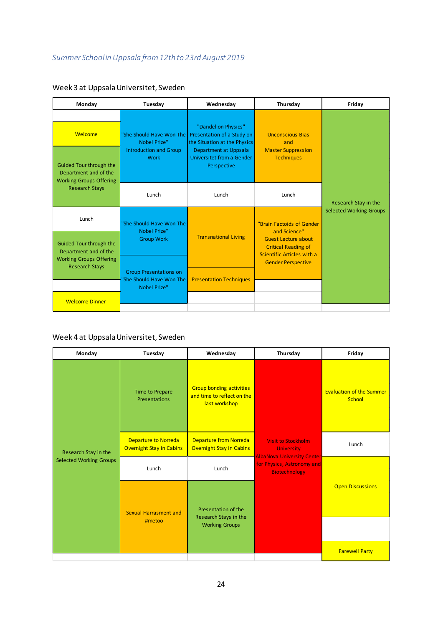| Monday                                                                                        | Tuesday                                                                                  | Wednesday                                                                                                                                                     | Thursday                                                                                               | Friday                         |
|-----------------------------------------------------------------------------------------------|------------------------------------------------------------------------------------------|---------------------------------------------------------------------------------------------------------------------------------------------------------------|--------------------------------------------------------------------------------------------------------|--------------------------------|
| Welcome<br>Guided Tour through the<br>Department and of the<br><b>Working Groups Offering</b> | "She Should Have Won The<br>Nobel Prize"<br><b>Introduction and Group</b><br><b>Work</b> | "Dandelion Physics"<br>Presentation of a Study on<br>the Situation at the Physics<br><b>Department at Uppsala</b><br>Universitet from a Gender<br>Perspective | <b>Unconscious Bias</b><br>and<br><b>Master Suppression</b><br><b>Techniques</b>                       |                                |
| <b>Research Stays</b>                                                                         | Lunch                                                                                    | Lunch                                                                                                                                                         | Lunch                                                                                                  | Research Stay in the           |
| Lunch                                                                                         | "She Should Have Won The                                                                 |                                                                                                                                                               | "Brain Factoids of Gender                                                                              | <b>Selected Working Groups</b> |
| Guided Tour through the<br>Department and of the                                              | Nobel Prize"<br><b>Group Work</b>                                                        | <b>Transnational Living</b>                                                                                                                                   | and Science"<br><b>Guest Lecture about</b><br><b>Critical Reading of</b><br>Scientific Articles with a |                                |
| <b>Working Groups Offering</b><br><b>Research Stays</b>                                       | <b>Group Presentations on</b>                                                            |                                                                                                                                                               | <b>Gender Perspective</b>                                                                              |                                |
|                                                                                               | 'She Should Have Won The<br>Nobel Prize"                                                 | <b>Presentation Techniques</b>                                                                                                                                |                                                                                                        |                                |
| <b>Welcome Dinner</b>                                                                         |                                                                                          |                                                                                                                                                               |                                                                                                        |                                |

## Week 3 at Uppsala Universitet, Sweden

#### Week 4 at Uppsala Universitet, Sweden

| Monday                                                 | Tuesday                                                        | Wednesday                                                                      | Thursday                                                                                                                                  | Friday                                    |
|--------------------------------------------------------|----------------------------------------------------------------|--------------------------------------------------------------------------------|-------------------------------------------------------------------------------------------------------------------------------------------|-------------------------------------------|
| Research Stay in the<br><b>Selected Working Groups</b> | Time to Prepare<br><b>Presentations</b>                        | <b>Group bonding activities</b><br>and time to reflect on the<br>last workshop | <b>Visit to Stockholm</b><br><b>University</b><br><b>AlbaNova University Center</b><br>for Physics, Astronomy and<br><b>Biotechnology</b> | <b>Evaluation of the Summer</b><br>School |
|                                                        | <b>Departure to Norreda</b><br><b>Overnight Stay in Cabins</b> | <b>Departure from Norreda</b><br><b>Overnight Stay in Cabins</b>               |                                                                                                                                           | Lunch                                     |
|                                                        | Lunch                                                          | Lunch                                                                          |                                                                                                                                           |                                           |
|                                                        | Sexual Harrasment and<br>#metoo                                | Presentation of the<br>Research Stays in the                                   |                                                                                                                                           | <b>Open Discussions</b>                   |
|                                                        |                                                                | <b>Working Groups</b>                                                          |                                                                                                                                           |                                           |
|                                                        |                                                                |                                                                                |                                                                                                                                           | <b>Farewell Party</b>                     |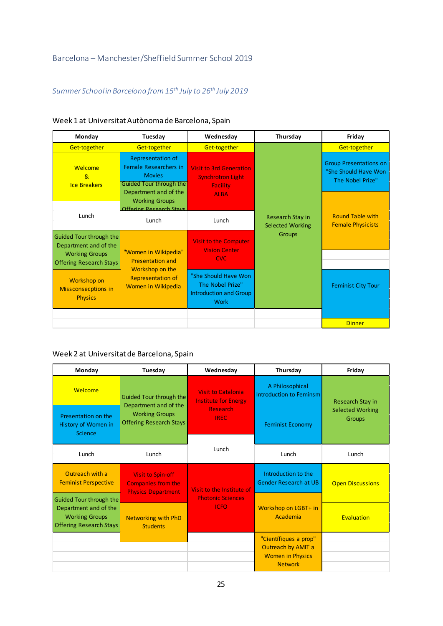## <span id="page-24-0"></span>Barcelona – Manchester/Sheffield Summer School 2019

## *Summer School in Barcelona from 15th July to 26th July 2019*

| Monday                                                             | Tuesday                                                                                                                     | Wednesday                                                                                | Thursday                                           | Friday                                                                    |
|--------------------------------------------------------------------|-----------------------------------------------------------------------------------------------------------------------------|------------------------------------------------------------------------------------------|----------------------------------------------------|---------------------------------------------------------------------------|
| Get-together                                                       | Get-together                                                                                                                | Get-together                                                                             |                                                    | Get-together                                                              |
| Welcome<br>$\mathcal{R}$<br><b>Ice Breakers</b>                    | Representation of<br>Female Researchers in<br><b>Movies</b><br>Guided Tour through the<br>Department and of the             | <b>Visit to 3rd Generation</b><br><b>Synchrotron Light</b><br><b>Facility</b>            |                                                    | <b>Group Presentations on</b><br>"She Should Have Won<br>The Nobel Prize" |
|                                                                    | <b>Working Groups</b><br>Offering Research Stavs                                                                            | <b>ALBA</b>                                                                              |                                                    |                                                                           |
| Lunch                                                              | Lunch                                                                                                                       | Lunch                                                                                    | <b>Research Stay in</b><br><b>Selected Working</b> | <b>Round Table with</b><br><b>Female Physicists</b>                       |
| Guided Tour through the<br>Department and of the                   |                                                                                                                             | <b>Visit to the Computer</b><br><b>Vision Center</b>                                     | <b>Groups</b>                                      |                                                                           |
| <b>Working Groups</b><br><b>Offering Research Stays</b>            | "Women in Wikipedia"<br><b>Presentation and</b><br>Workshop on the<br><b>Representation of</b><br><b>Women in Wikipedia</b> | <b>CVC</b>                                                                               |                                                    |                                                                           |
| <b>Workshop on</b><br><b>Missconsecptions in</b><br><b>Physics</b> |                                                                                                                             | "She Should Have Won<br>The Nobel Prize"<br><b>Introduction and Group</b><br><b>Work</b> |                                                    | <b>Feminist City Tour</b>                                                 |
|                                                                    |                                                                                                                             |                                                                                          |                                                    | <b>Dinner</b>                                                             |

## Week 1 at Universitat Autònoma de Barcelona, Spain

## Week 2 at Universitat de Barcelona, Spain

| Monday                                                                                                      | Tuesday                                                                                                     | Wednesday                                                                           | Thursday                                                                                 | Friday                                                |
|-------------------------------------------------------------------------------------------------------------|-------------------------------------------------------------------------------------------------------------|-------------------------------------------------------------------------------------|------------------------------------------------------------------------------------------|-------------------------------------------------------|
| Welcome                                                                                                     | Guided Tour through the<br>Department and of the<br><b>Working Groups</b><br><b>Offering Research Stays</b> | <b>Visit to Catalonia</b><br><b>Institute for Energy</b><br>Research<br><b>IREC</b> | A Philosophical<br>Introduction to Feminsm                                               | Research Stay in<br><b>Selected Working</b><br>Groups |
| Presentation on the<br>History of Women in<br><b>Science</b>                                                |                                                                                                             |                                                                                     | <b>Feminist Economy</b>                                                                  |                                                       |
| Lunch                                                                                                       | Lunch                                                                                                       | Lunch                                                                               | Lunch                                                                                    | Lunch                                                 |
| Outreach with a<br><b>Feminist Perspective</b>                                                              | <b>Visit to Spin-off</b><br><b>Companies from the</b><br><b>Physics Department</b>                          | Visit to the Institute of                                                           | Introduction to the<br><b>Gender Research at UB</b>                                      | <b>Open Discussions</b>                               |
| Guided Tour through the<br>Department and of the<br><b>Working Groups</b><br><b>Offering Research Stays</b> | <b>Networking with PhD</b><br><b>Students</b>                                                               | <b>Photonic Sciences</b><br><b>ICFO</b>                                             | Workshop on LGBT+ in<br>Academia                                                         | Evaluation                                            |
|                                                                                                             |                                                                                                             |                                                                                     | "Científiques a prop"<br>Outreach by AMIT a<br><b>Women in Physics</b><br><b>Network</b> |                                                       |